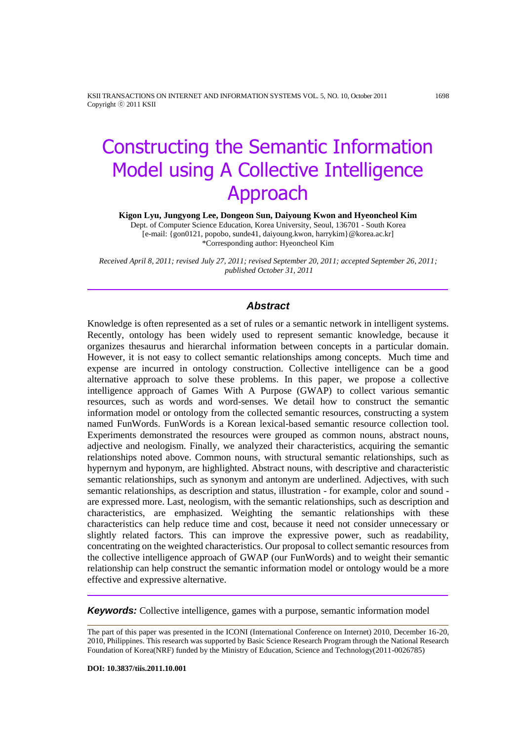KSII TRANSACTIONS ON INTERNET AND INFORMATION SYSTEMS VOL. 5, NO. 10, October 2011 1698 Copyright ⓒ 2011 KSII

# Constructing the Semantic Information Model using A Collective Intelligence Approach

**Kigon Lyu, Jungyong Lee, Dongeon Sun, Daiyoung Kwon and Hyeoncheol Kim**

Dept. of Computer Science Education, Korea University, Seoul, 136701 - South Korea [e-mail: {gon0121, popobo, sunde41, daiyoung.kwon, harrykim}@korea.ac.kr] \*Corresponding author: Hyeoncheol Kim

*Received April 8, 2011; revised July 27, 2011; revised September 20, 2011; accepted September 26, 2011; published October 31, 2011*

## *Abstract*

Knowledge is often represented as a set of rules or a semantic network in intelligent systems. Recently, ontology has been widely used to represent semantic knowledge, because it organizes thesaurus and hierarchal information between concepts in a particular domain. However, it is not easy to collect semantic relationships among concepts. Much time and expense are incurred in ontology construction. Collective intelligence can be a good alternative approach to solve these problems. In this paper, we propose a collective intelligence approach of Games With A Purpose (GWAP) to collect various semantic resources, such as words and word-senses. We detail how to construct the semantic information model or ontology from the collected semantic resources, constructing a system named FunWords. FunWords is a Korean lexical-based semantic resource collection tool. Experiments demonstrated the resources were grouped as common nouns, abstract nouns, adjective and neologism. Finally, we analyzed their characteristics, acquiring the semantic relationships noted above. Common nouns, with structural semantic relationships, such as hypernym and hyponym, are highlighted. Abstract nouns, with descriptive and characteristic semantic relationships, such as synonym and antonym are underlined. Adjectives, with such semantic relationships, as description and status, illustration - for example, color and sound are expressed more. Last, neologism, with the semantic relationships, such as description and characteristics, are emphasized. Weighting the semantic relationships with these characteristics can help reduce time and cost, because it need not consider unnecessary or slightly related factors. This can improve the expressive power, such as readability, concentrating on the weighted characteristics. Our proposal to collect semantic resources from the collective intelligence approach of GWAP (our FunWords) and to weight their semantic relationship can help construct the semantic information model or ontology would be a more effective and expressive alternative.

*Keywords:* Collective intelligence, games with a purpose, semantic information model

The part of this paper was presented in the ICONI (International Conference on Internet) 2010, December 16-20, 2010, Philippines. This research was supported by Basic Science Research Program through the National Research Foundation of Korea(NRF) funded by the Ministry of Education, Science and Technology(2011-0026785)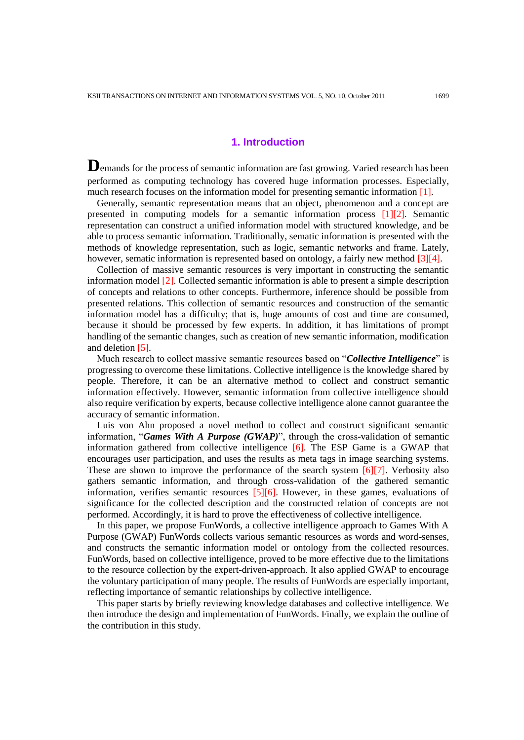# **1. Introduction**

Demands for the process of semantic information are fast growing. Varied research has been performed as computing technology has covered huge information processes. Especially, much research focuses on the information model for presenting semantic information [1].

Generally, semantic representation means that an object, phenomenon and a concept are presented in computing models for a semantic information process [1][2]. Semantic representation can construct a unified information model with structured knowledge, and be able to process semantic information. Traditionally, sematic information is presented with the methods of knowledge representation, such as logic, semantic networks and frame. Lately, however, sematic information is represented based on ontology, a fairly new method [3][4].

Collection of massive semantic resources is very important in constructing the semantic information model [2]. Collected semantic information is able to present a simple description of concepts and relations to other concepts. Furthermore, inference should be possible from presented relations. This collection of semantic resources and construction of the semantic information model has a difficulty; that is, huge amounts of cost and time are consumed, because it should be processed by few experts. In addition, it has limitations of prompt handling of the semantic changes, such as creation of new semantic information, modification and deletion [5].

Much research to collect massive semantic resources based on "*Collective Intelligence*" is progressing to overcome these limitations. Collective intelligence is the knowledge shared by people. Therefore, it can be an alternative method to collect and construct semantic information effectively. However, semantic information from collective intelligence should also require verification by experts, because collective intelligence alone cannot guarantee the accuracy of semantic information.

Luis von Ahn proposed a novel method to collect and construct significant semantic information, "*Games With A Purpose (GWAP)*", through the cross-validation of semantic information gathered from collective intelligence [6]. The ESP Game is a GWAP that encourages user participation, and uses the results as meta tags in image searching systems. These are shown to improve the performance of the search system [6][7]. Verbosity also gathers semantic information, and through cross-validation of the gathered semantic information, verifies semantic resources  $[5][6]$ . However, in these games, evaluations of significance for the collected description and the constructed relation of concepts are not performed. Accordingly, it is hard to prove the effectiveness of collective intelligence.

In this paper, we propose FunWords, a collective intelligence approach to Games With A Purpose (GWAP) FunWords collects various semantic resources as words and word-senses, and constructs the semantic information model or ontology from the collected resources. FunWords, based on collective intelligence, proved to be more effective due to the limitations to the resource collection by the expert-driven-approach. It also applied GWAP to encourage the voluntary participation of many people. The results of FunWords are especially important, reflecting importance of semantic relationships by collective intelligence.

This paper starts by briefly reviewing knowledge databases and collective intelligence. We then introduce the design and implementation of FunWords. Finally, we explain the outline of the contribution in this study.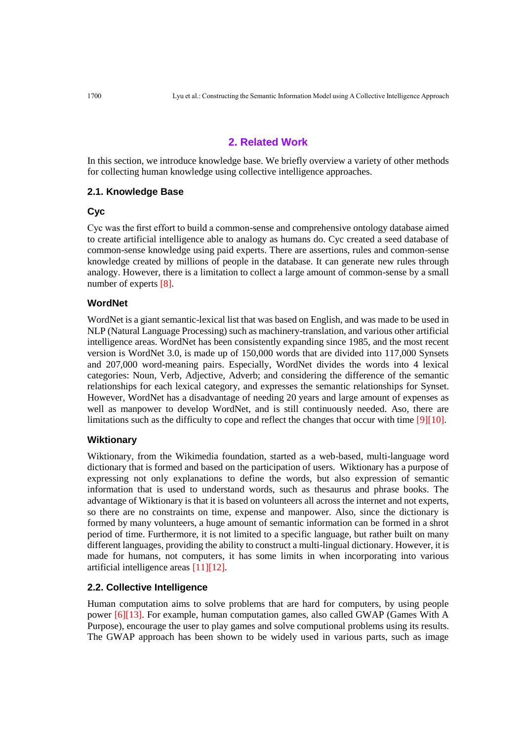# **2. Related Work**

In this section, we introduce knowledge base. We briefly overview a variety of other methods for collecting human knowledge using collective intelligence approaches.

## **2.1. Knowledge Base**

#### **Cyc**

Cyc was the first effort to build a common-sense and comprehensive ontology database aimed to create artificial intelligence able to analogy as humans do. Cyc created a seed database of common-sense knowledge using paid experts. There are assertions, rules and common-sense knowledge created by millions of people in the database. It can generate new rules through analogy. However, there is a limitation to collect a large amount of common-sense by a small number of experts [8].

#### **WordNet**

WordNet is a giant semantic-lexical list that was based on English, and was made to be used in NLP (Natural Language Processing) such as machinery-translation, and various other artificial intelligence areas. WordNet has been consistently expanding since 1985, and the most recent version is WordNet 3.0, is made up of 150,000 words that are divided into 117,000 Synsets and 207,000 word-meaning pairs. Especially, WordNet divides the words into 4 lexical categories: Noun, Verb, Adjective, Adverb; and considering the difference of the semantic relationships for each lexical category, and expresses the semantic relationships for Synset. However, WordNet has a disadvantage of needing 20 years and large amount of expenses as well as manpower to develop WordNet, and is still continuously needed. Aso, there are limitations such as the difficulty to cope and reflect the changes that occur with time [9][10].

## **Wiktionary**

Wiktionary, from the Wikimedia foundation, started as a web-based, multi-language word dictionary that is formed and based on the participation of users. Wiktionary has a purpose of expressing not only explanations to define the words, but also expression of semantic information that is used to understand words, such as thesaurus and phrase books. The advantage of Wiktionary is that it is based on volunteers all across the internet and not experts, so there are no constraints on time, expense and manpower. Also, since the dictionary is formed by many volunteers, a huge amount of semantic information can be formed in a shrot period of time. Furthermore, it is not limited to a specific language, but rather built on many different languages, providing the ability to construct a multi-lingual dictionary. However, it is made for humans, not computers, it has some limits in when incorporating into various artificial intelligence areas [11][12].

#### **2.2. Collective Intelligence**

Human computation aims to solve problems that are hard for computers, by using people power [6][13]. For example, human computation games, also called GWAP (Games With A Purpose), encourage the user to play games and solve computional problems using its results. The GWAP approach has been shown to be widely used in various parts, such as image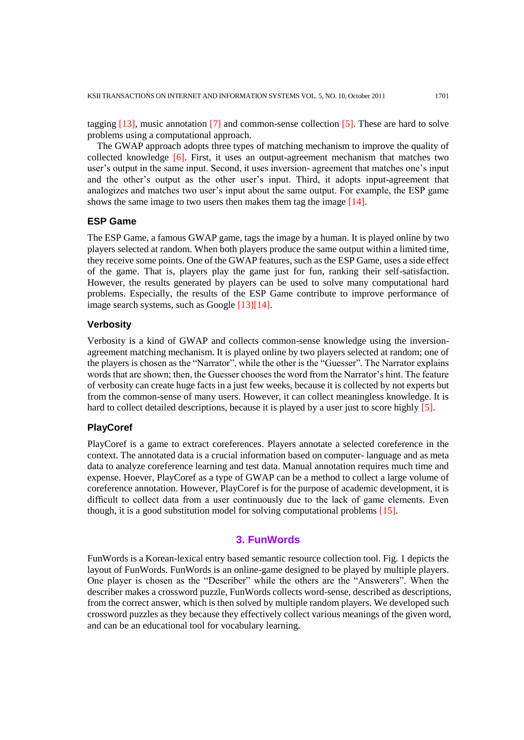tagging [13], music annotation [7] and common-sense collection [5]. These are hard to solve problems using a computational approach.

The GWAP approach adopts three types of matching mechanism to improve the quality of collected knowledge [6]. First, it uses an output-agreement mechanism that matches two user's output in the same input. Second, it uses inversion- agreement that matches one's input and the other's output as the other user's input. Third, it adopts input-agreement that analogizes and matches two user's input about the same output. For example, the ESP game shows the same image to two users then makes them tag the image [14].

#### **ESP Game**

The ESP Game, a famous GWAP game, tags the image by a human. It is played online by two players selected at random. When both players produce the same output within a limited time, they receive some points. One of the GWAP features, such as the ESP Game, uses a side effect of the game. That is, players play the game just for fun, ranking their self-satisfaction. However, the results generated by players can be used to solve many computational hard problems. Especially, the results of the ESP Game contribute to improve performance of image search systems, such as Google [13][14].

## **Verbosity**

Verbosity is a kind of GWAP and collects common-sense knowledge using the inversionagreement matching mechanism. It is played online by two players selected at random; one of the players is chosen as the "Narrator", while the other is the "Guesser". The Narrator explains words that are shown; then, the Guesser chooses the word from the Narrator's hint. The feature of verbosity can create huge facts in a just few weeks, because it is collected by not experts but from the common-sense of many users. However, it can collect meaningless knowledge. It is hard to collect detailed descriptions, because it is played by a user just to score highly [5].

## **PlayCoref**

PlayCoref is a game to extract coreferences. Players annotate a selected coreference in the context. The annotated data is a crucial information based on computer- language and as meta data to analyze coreference learning and test data. Manual annotation requires much time and expense. Hoever, PlayCoref as a type of GWAP can be a method to collect a large volume of coreference annotation. However, PlayCoref is for the purpose of academic development, it is difficult to collect data from a user continuously due to the lack of game elements. Even though, it is a good substitution model for solving computational problems [15].

# **3. FunWords**

FunWords is a Korean-lexical entry based semantic resource collection tool. Fig. 1 depicts the layout of FunWords. FunWords is an online-game designed to be played by multiple players. One player is chosen as the "Describer" while the others are the "Answerers". When the describer makes a crossword puzzle, FunWords collects word-sense, described as descriptions, from the correct answer, which is then solved by multiple random players. We developed such crossword puzzles as they because they effectively collect various meanings of the given word, and can be an educational tool for vocabulary learning.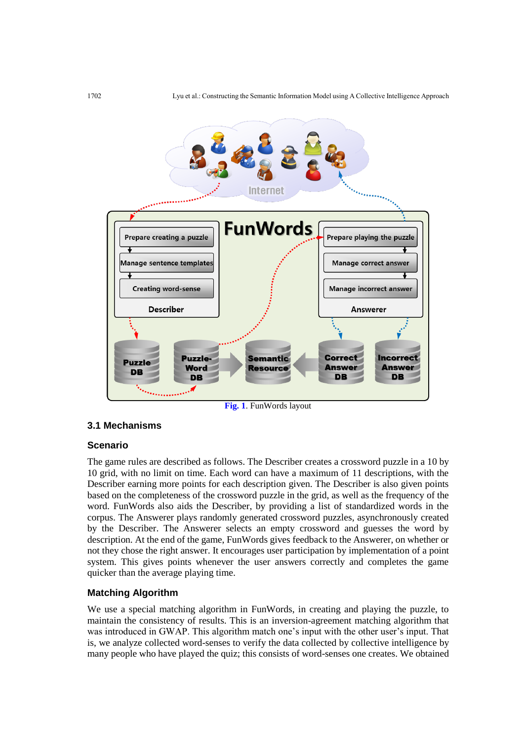

**Fig. 1**. FunWords layout

# **3.1 Mechanisms**

## **Scenario**

The game rules are described as follows. The Describer creates a crossword puzzle in a 10 by 10 grid, with no limit on time. Each word can have a maximum of 11 descriptions, with the Describer earning more points for each description given. The Describer is also given points based on the completeness of the crossword puzzle in the grid, as well as the frequency of the word. FunWords also aids the Describer, by providing a list of standardized words in the corpus. The Answerer plays randomly generated crossword puzzles, asynchronously created by the Describer. The Answerer selects an empty crossword and guesses the word by description. At the end of the game, FunWords gives feedback to the Answerer, on whether or not they chose the right answer. It encourages user participation by implementation of a point system. This gives points whenever the user answers correctly and completes the game quicker than the average playing time.

# **Matching Algorithm**

We use a special matching algorithm in FunWords, in creating and playing the puzzle, to maintain the consistency of results. This is an inversion-agreement matching algorithm that was introduced in GWAP. This algorithm match one's input with the other user's input. That is, we analyze collected word-senses to verify the data collected by collective intelligence by many people who have played the quiz; this consists of word-senses one creates. We obtained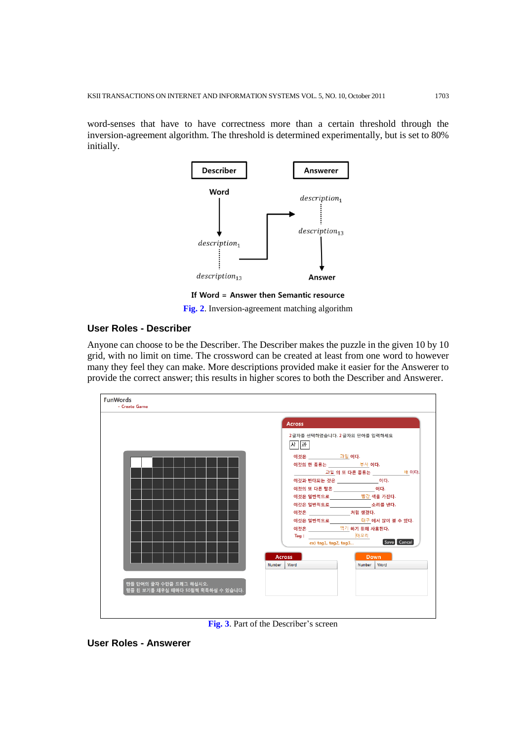word-senses that have to have correctness more than a certain threshold through the inversion-agreement algorithm. The threshold is determined experimentally, but is set to 80% initially.



**Fig. 2**. Inversion-agreement matching algorithm

## **User Roles - Describer**

Anyone can choose to be the Describer. The Describer makes the puzzle in the given 10 by 10 grid, with no limit on time. The crossword can be created at least from one word to however many they feel they can make. More descriptions provided make it easier for the Answerer to provide the correct answer; this results in higher scores to both the Describer and Answerer.



**Fig. 3**. Part of the Describer's screen

**User Roles - Answerer**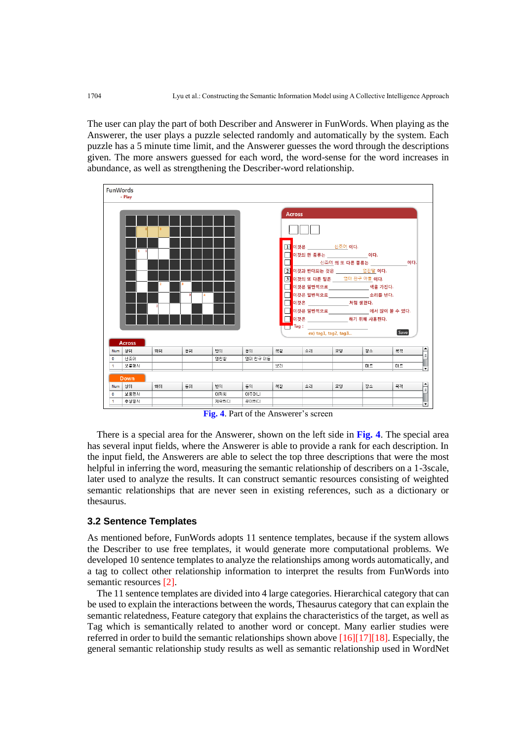The user can play the part of both Describer and Answerer in FunWords. When playing as the Answerer, the user plays a puzzle selected randomly and automatically by the system. Each puzzle has a 5 minute time limit, and the Answerer guesses the word through the descriptions given. The more answers guessed for each word, the word-sense for the word increases in abundance, as well as strengthening the Describer-word relationship.



**Fig. 4**. Part of the Answerer's screen

There is a special area for the Answerer, shown on the left side in **Fig. 4**. The special area has several input fields, where the Answerer is able to provide a rank for each description. In the input field, the Answerers are able to select the top three descriptions that were the most helpful in inferring the word, measuring the semantic relationship of describers on a 1-3scale, later used to analyze the results. It can construct semantic resources consisting of weighted semantic relationships that are never seen in existing references, such as a dictionary or thesaurus.

# **3.2 Sentence Templates**

As mentioned before, FunWords adopts 11 sentence templates, because if the system allows the Describer to use free templates, it would generate more computational problems. We developed 10 sentence templates to analyze the relationships among words automatically, and a tag to collect other relationship information to interpret the results from FunWords into semantic resources [2].

The 11 sentence templates are divided into 4 large categories. Hierarchical category that can be used to explain the interactions between the words, Thesaurus category that can explain the semantic relatedness, Feature category that explains the characteristics of the target, as well as Tag which is semantically related to another word or concept. Many earlier studies were referred in order to build the semantic relationships shown above [16][17][18]. Especially, the general semantic relationship study results as well as semantic relationship used in WordNet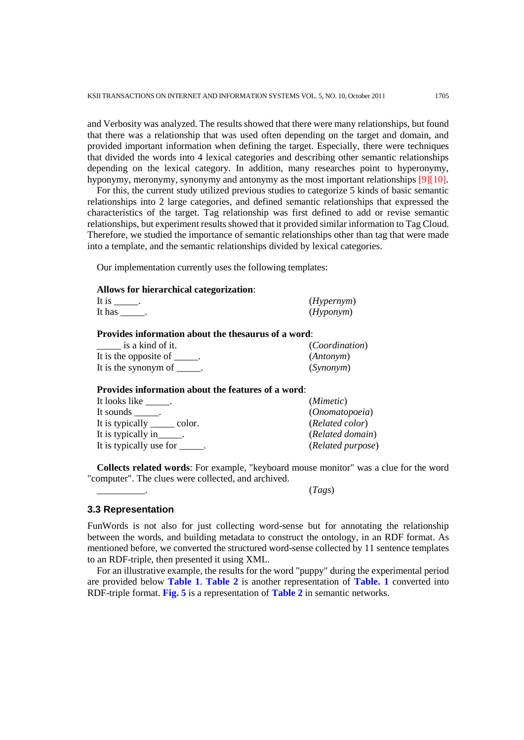and Verbosity was analyzed. The results showed that there were many relationships, but found that there was a relationship that was used often depending on the target and domain, and provided important information when defining the target. Especially, there were techniques that divided the words into 4 lexical categories and describing other semantic relationships depending on the lexical category. In addition, many researches point to hyperonymy, hyponymy, meronymy, synonymy and antonymy as the most important relationships [9][10].

For this, the current study utilized previous studies to categorize 5 kinds of basic semantic relationships into 2 large categories, and defined semantic relationships that expressed the characteristics of the target. Tag relationship was first defined to add or revise semantic relationships, but experiment results showed that it provided similar information to Tag Cloud. Therefore, we studied the importance of semantic relationships other than tag that were made into a template, and the semantic relationships divided by lexical categories.

Our implementation currently uses the following templates:

#### **Allows for hierarchical categorization**:

| It is  | ( <i>Hypernym</i> ) |
|--------|---------------------|
| It has | (Hyponym)           |
|        |                     |

# **Provides information about the thesaurus of a word**:

| is a kind of it.      | <i>(Coordination)</i> |
|-----------------------|-----------------------|
| It is the opposite of | ( <i>Antonym</i> )    |
| It is the synonym of  | (Synonym)             |

#### **Provides information about the features of a word**:

| It looks like .                 | ( <i>Mimetic</i> ) |
|---------------------------------|--------------------|
| It sounds .                     | (Onomatopoeia)     |
| It is typically _______ color.  | (Related color)    |
| It is typically in______.       | (Related domain)   |
| It is typically use for ______. | (Related purpose)  |

**Collects related words**: For example, "keyboard mouse monitor" was a clue for the word "computer". The clues were collected, and archived.

\_\_\_\_\_\_\_\_\_\_. (*Tags*)

#### **3.3 Representation**

FunWords is not also for just collecting word-sense but for annotating the relationship between the words, and building metadata to construct the ontology, in an RDF format. As mentioned before, we converted the structured word-sense collected by 11 sentence templates to an RDF-triple, then presented it using XML.

For an illustrative example, the results for the word "puppy" during the experimental period are provided below **Table 1**. **Table 2** is another representation of **Table. 1** converted into RDF-triple format. **Fig. 5** is a representation of **Table 2** in semantic networks.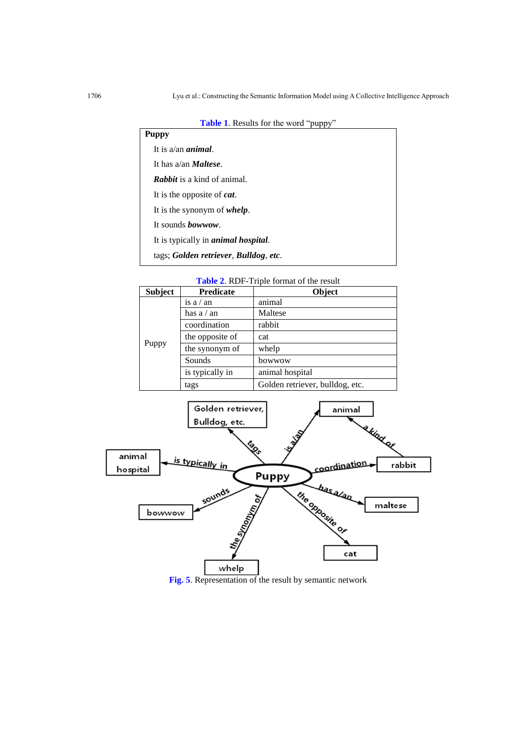|  | Table 1. Results for the word "puppy" |  |  |  |
|--|---------------------------------------|--|--|--|
|--|---------------------------------------|--|--|--|

| <b>Puppy</b>                                |
|---------------------------------------------|
| It is $a$ /an <i>animal</i> .               |
| It has a/an <i>Maltese</i> .                |
| <b>Rabbit</b> is a kind of animal.          |
| It is the opposite of <i>cat</i> .          |
| It is the synonym of <i>whelp</i> .         |
| It sounds <i>bowwow</i> .                   |
| It is typically in <i>animal hospital</i> . |
| tags; Golden retriever, Bulldog, etc.       |
|                                             |

**Table 2**. RDF-Triple format of the result

| <b>Subject</b> | <b>Predicate</b> | Object                          |  |  |
|----------------|------------------|---------------------------------|--|--|
|                | is $a / an$      | animal                          |  |  |
|                | has $a / an$     | Maltese                         |  |  |
|                | coordination     | rabbit                          |  |  |
|                | the opposite of  | cat                             |  |  |
| Puppy          | the synonym of   | whelp                           |  |  |
|                | Sounds           | bowwow                          |  |  |
|                | is typically in  | animal hospital                 |  |  |
|                | tags             | Golden retriever, bulldog, etc. |  |  |



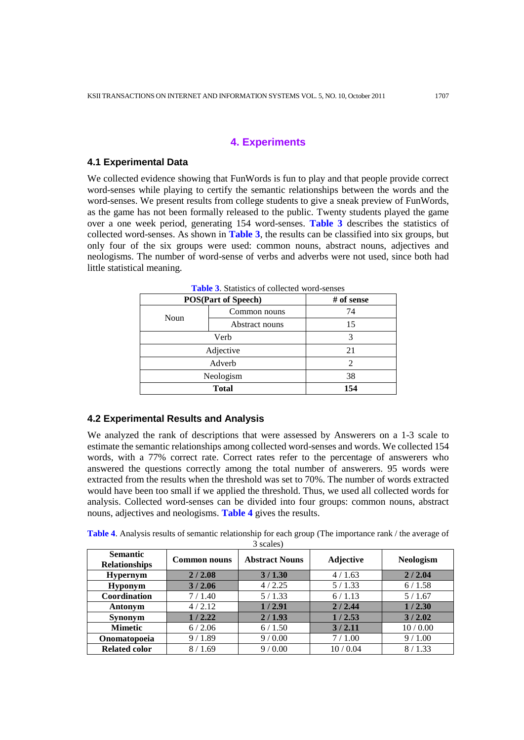# **4. Experiments**

#### **4.1 Experimental Data**

We collected evidence showing that FunWords is fun to play and that people provide correct word-senses while playing to certify the semantic relationships between the words and the word-senses. We present results from college students to give a sneak preview of FunWords, as the game has not been formally released to the public. Twenty students played the game over a one week period, generating 154 word-senses. **Table 3** describes the statistics of collected word-senses. As shown in **Table 3**, the results can be classified into six groups, but only four of the six groups were used: common nouns, abstract nouns, adjectives and neologisms. The number of word-sense of verbs and adverbs were not used, since both had little statistical meaning.

| <b>POS(Part of Speech)</b> |                | # of sense |
|----------------------------|----------------|------------|
| Noun                       | Common nouns   | 74         |
|                            | Abstract nouns | 15         |
| Verb                       |                | 3          |
| Adjective                  |                | 21         |
| Adverb                     |                | 2          |
| Neologism                  |                | 38         |
| <b>Total</b>               |                | 154        |

**Table 3**. Statistics of collected word-senses

## **4.2 Experimental Results and Analysis**

We analyzed the rank of descriptions that were assessed by Answerers on a 1-3 scale to estimate the semantic relationships among collected word-senses and words. We collected 154 words, with a 77% correct rate. Correct rates refer to the percentage of answerers who answered the questions correctly among the total number of answerers. 95 words were extracted from the results when the threshold was set to 70%. The number of words extracted would have been too small if we applied the threshold. Thus, we used all collected words for analysis. Collected word-senses can be divided into four groups: common nouns, abstract nouns, adjectives and neologisms. **Table 4** gives the results.

| <b>Table 4.</b> Analysis results of semantic relationship for each group (The importance rank / the average of |  |
|----------------------------------------------------------------------------------------------------------------|--|
| 3 scales)                                                                                                      |  |

| <b>Semantic</b><br><b>Relationships</b> | <b>Common nouns</b> | <b>Abstract Nouns</b> | <b>Adjective</b> | <b>Neologism</b> |
|-----------------------------------------|---------------------|-----------------------|------------------|------------------|
| <b>Hypernym</b>                         | 2/2.08              | 3/1.30                | 4/1.63           | 2/2.04           |
| <b>Hyponym</b>                          | 3/2.06              | 4/2.25                | 5/1.33           | 6/1.58           |
| Coordination                            | 7/1.40              | 5/1.33                | 6/1.13           | 5/1.67           |
| Antonym                                 | 4/2.12              | 1/2.91                | 2/2.44           | 1/2.30           |
| <b>Synonym</b>                          | 1/2.22              | 2/1.93                | 1/2.53           | 3/2.02           |
| <b>Mimetic</b>                          | 6/2.06              | 6/1.50                | 3/2.11           | 10/0.00          |
| Onomatopoeia                            | 9/1.89              | 9/0.00                | 7/1.00           | 9/1.00           |
| <b>Related color</b>                    | 8/1.69              | 9/0.00                | 10/0.04          | 8/1.33           |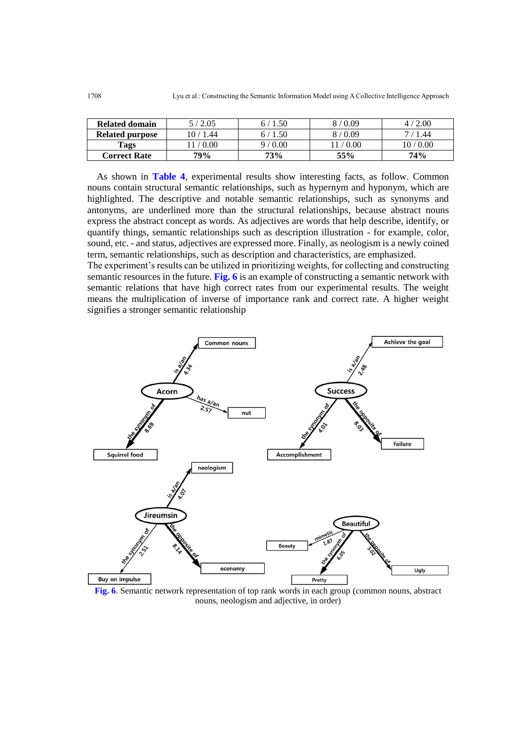| Related domain         | 5/2.05    | .50<br>б.  | 8/0.09 | 2.00    |
|------------------------|-----------|------------|--------|---------|
| <b>Related purpose</b> | 10 / 1.44 | 1.50<br>67 | 8/0.09 | .44     |
| Tags                   | 1/0.00    | 9/0.00     | / 0.00 | 10/0.00 |
| <b>Correct Rate</b>    | 79%       | 73%        | 55%    | 74%     |

As shown in **Table 4**, experimental results show interesting facts, as follow. Common nouns contain structural semantic relationships, such as hypernym and hyponym, which are highlighted. The descriptive and notable semantic relationships, such as synonyms and antonyms, are underlined more than the structural relationships, because abstract nouns express the abstract concept as words. As adjectives are words that help describe, identify, or quantify things, semantic relationships such as description illustration - for example, color, sound, etc. - and status, adjectives are expressed more. Finally, as neologism is a newly coined term, semantic relationships, such as description and characteristics, are emphasized.

The experiment's results can be utilized in prioritizing weights, for collecting and constructing semantic resources in the future. **Fig. 6** is an example of constructing a semantic network with semantic relations that have high correct rates from our experimental results. The weight means the multiplication of inverse of importance rank and correct rate. A higher weight signifies a stronger semantic relationship



**Fig. 6**. Semantic network representation of top rank words in each group (common nouns, abstract nouns, neologism and adjective, in order)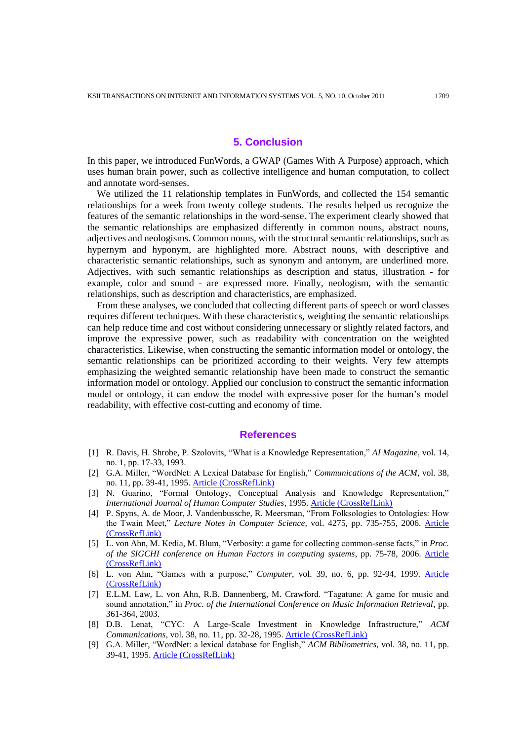# **5. Conclusion**

In this paper, we introduced FunWords, a GWAP (Games With A Purpose) approach, which uses human brain power, such as collective intelligence and human computation, to collect and annotate word-senses.

We utilized the 11 relationship templates in FunWords, and collected the 154 semantic relationships for a week from twenty college students. The results helped us recognize the features of the semantic relationships in the word-sense. The experiment clearly showed that the semantic relationships are emphasized differently in common nouns, abstract nouns, adjectives and neologisms. Common nouns, with the structural semantic relationships, such as hypernym and hyponym, are highlighted more. Abstract nouns, with descriptive and characteristic semantic relationships, such as synonym and antonym, are underlined more. Adjectives, with such semantic relationships as description and status, illustration - for example, color and sound - are expressed more. Finally, neologism, with the semantic relationships, such as description and characteristics, are emphasized.

From these analyses, we concluded that collecting different parts of speech or word classes requires different techniques. With these characteristics, weighting the semantic relationships can help reduce time and cost without considering unnecessary or slightly related factors, and improve the expressive power, such as readability with concentration on the weighted characteristics. Likewise, when constructing the semantic information model or ontology, the semantic relationships can be prioritized according to their weights. Very few attempts emphasizing the weighted semantic relationship have been made to construct the semantic information model or ontology. Applied our conclusion to construct the semantic information model or ontology, it can endow the model with expressive poser for the human's model readability, with effective cost-cutting and economy of time.

#### **References**

- [1] R. Davis, H. Shrobe, P. Szolovits, "What is a Knowledge Representation," *AI Magazine*, vol. 14, no. 1, pp. 17-33, 1993.
- [2] G.A. Miller, "WordNet: A Lexical Database for English," *Communications of the ACM*, vol. 38, no. 11, pp. 39-41, 1995. [Article \(CrossRefLink\)](http://dx.doi.org/10.1145/219717.219748)
- [3] N. Guarino, "Formal Ontology, Conceptual Analysis and Knowledge Representation," *International Journal of Human Computer Studies*, 1995. [Article \(CrossRefLink\)](http://dx.doi.org/10.1006/ijhc.1995.1066)
- [4] P. Spyns, A. de Moor, J. Vandenbussche, R. Meersman, "From Folksologies to Ontologies: How the Twain Meet," *Lecture Notes in Computer Science*, vol. 4275, pp. 735-755, 2006. [Article](http://dx.doi.org/10.1007/11914853_45)  [\(CrossRefLink\)](http://dx.doi.org/10.1007/11914853_45)
- [5] L. von Ahn, M. Kedia, M. Blum, "Verbosity: a game for collecting common-sense facts," in *Proc. of the SIGCHI conference on Human Factors in computing systems*, pp. 75-78, 2006. [Article](http://dx.doi.org/10.1145/1124772.1124784)  [\(CrossRefLink\)](http://dx.doi.org/10.1145/1124772.1124784)
- [6] L. von Ahn, "Games with a purpose," *Computer*, vol. 39, no. 6, pp. 92-94, 1999. [Article](http://dx.doi.org/10.1109/MC.2006.196)  [\(CrossRefLink\)](http://dx.doi.org/10.1109/MC.2006.196)
- [7] E.L.M. Law, L. von Ahn, R.B. Dannenberg, M. Crawford. "Tagatune: A game for music and sound annotation," in *Proc. of the International Conference on Music Information Retrieval*, pp. 361-364, 2003.
- [8] D.B. Lenat, "CYC: A Large-Scale Investment in Knowledge Infrastructure," *ACM Communications*, vol. 38, no. 11, pp. 32-28, 1995. [Article \(CrossRefLink\)](http://dx.doi.org/10.1145/219717.219745)
- [9] G.A. Miller, "WordNet: a lexical database for English," *ACM Bibliometrics*, vol. 38, no. 11, pp. 39-41, 1995. [Article \(CrossRefLink\)](http://dx.doi.org/10.1145/219717.219748)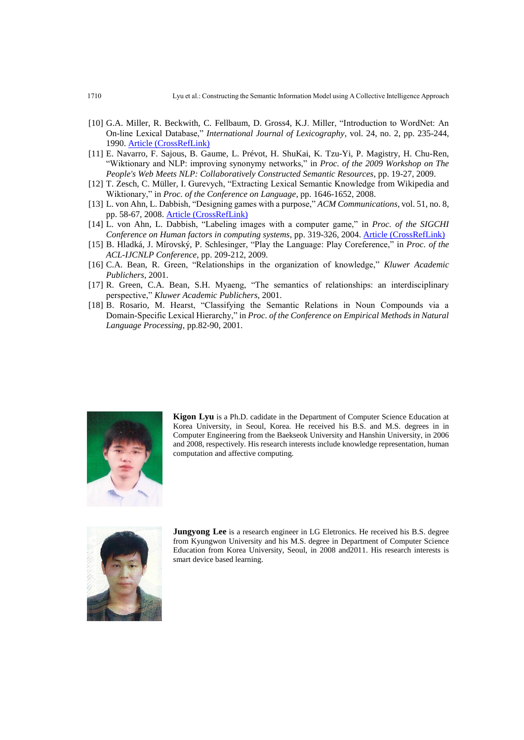- [10] G.A. Miller, R. Beckwith, C. Fellbaum, D. Gross4, K.J. Miller, "Introduction to WordNet: An On-line Lexical Database," *International Journal of Lexicography*, vol. 24, no. 2, pp. 235-244, 1990. [Article \(CrossRefLink\)](http://dx.doi.org/10.1093/ijl/3.4.235)
- [11] E. Navarro, F. Sajous, B. Gaume, L. Prévot, H. ShuKai, K. Tzu-Yi, P. Magistry, H. Chu-Ren, "Wiktionary and NLP: improving synonymy networks," in *Proc. of the 2009 Workshop on The People's Web Meets NLP: Collaboratively Constructed Semantic Resources*, pp. 19-27, 2009.
- [12] T. Zesch, C. Müller, I. Gurevych, "Extracting Lexical Semantic Knowledge from Wikipedia and Wiktionary," in *Proc. of the Conference on Language*, pp. 1646-1652, 2008.
- [13] L. von Ahn, L. Dabbish, "Designing games with a purpose," *ACM Communications*, vol. 51, no. 8, pp. 58-67, 2008. [Article \(CrossRefLink\)](http://dx.doi.org/10.1145/1378704.1378719)
- [14] L. von Ahn, L. Dabbish, "Labeling images with a computer game," in *Proc. of the SIGCHI Conference on Human factors in computing systems*, pp. 319-326, 2004. [Article \(CrossRefLink\)](http://dx.doi.org/10.1145/985692.985733)
- [15] B. Hladká, J. Mírovský, P. Schlesinger, "Play the Language: Play Coreference," in *Proc. of the ACL-IJCNLP Conference*, pp. 209-212, 2009.
- [16] C.A. Bean, R. Green, "Relationships in the organization of knowledge," *Kluwer Academic Publichers*, 2001.
- [17] R. Green, C.A. Bean, S.H. Myaeng, "The semantics of relationships: an interdisciplinary perspective," *Kluwer Academic Publichers*, 2001.
- [18] B. Rosario, M. Hearst, "Classifying the Semantic Relations in Noun Compounds via a Domain-Specific Lexical Hierarchy," in *Proc. of the Conference on Empirical Methods in Natural Language Processing*, pp.82-90, 2001.



**Kigon Lyu** is a Ph.D. cadidate in the Department of Computer Science Education at Korea University, in Seoul, Korea. He received his B.S. and M.S. degrees in in Computer Engineering from the Baekseok University and Hanshin University, in 2006 and 2008, respectively. His research interests include knowledge representation, human computation and affective computing.



**Jungyong Lee** is a research engineer in LG Eletronics. He received his B.S. degree from Kyungwon University and his M.S. degree in Department of Computer Science Education from Korea University, Seoul, in 2008 and2011. His research interests is smart device based learning.